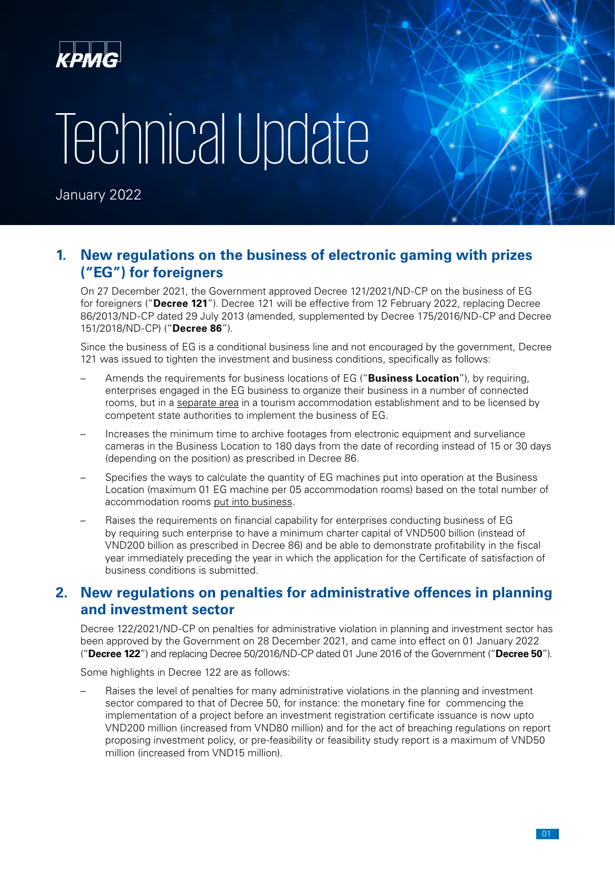

# Technical Update

January 2022

### **1. New regulations on the business of electronic gaming with prizes ("EG") for foreigners**

On 27 December 2021, the Government approved Decree 121/2021/ND-CP on the business of EG for foreigners ("**Decree 121**"). Decree 121 will be effective from 12 February 2022, replacing Decree 86/2013/ND-CP dated 29 July 2013 (amended, supplemented by Decree 175/2016/ND-CP and Decree 151/2018/ND-CP) ("**Decree 86**").

Since the business of EG is a conditional business line and not encouraged by the government, Decree 121 was issued to tighten the investment and business conditions, specifically as follows:

- Amends the requirements for business locations of EG ("**Business Location**"), by requiring, enterprises engaged in the EG business to organize their business in a number of connected rooms, but in a separate area in a tourism accommodation establishment and to be licensed by competent state authorities to implement the business of EG.
- Increases the minimum time to archive footages from electronic equipment and surveliance cameras in the Business Location to 180 days from the date of recording instead of 15 or 30 days (depending on the position) as prescribed in Decree 86.
- Specifies the ways to calculate the quantity of EG machines put into operation at the Business Location (maximum 01 EG machine per 05 accommodation rooms) based on the total number of accommodation rooms put into business.
- Raises the requirements on financial capability for enterprises conducting business of EG by requiring such enterprise to have a minimum charter capital of VND500 billion (instead of VND200 billion as prescribed in Decree 86) and be able to demonstrate profitability in the fiscal year immediately preceding the year in which the application for the Certificate of satisfaction of business conditions is submitted.

#### **2. New regulations on penalties for administrative offences in planning and investment sector**

Decree 122/2021/ND-CP on penalties for administrative violation in planning and investment sector has been approved by the Government on 28 December 2021, and came into effect on 01 January 2022 ("**Decree 122**") and replacing Decree 50/2016/ND-CP dated 01 June 2016 of the Government ("**Decree 50**").

Some highlights in Decree 122 are as follows:

– Raises the level of penalties for many administrative violations in the planning and investment sector compared to that of Decree 50, for instance: the monetary fine for commencing the implementation of a project before an investment registration certificate issuance is now upto VND200 million (increased from VND80 million) and for the act of breaching regulations on report proposing investment policy, or pre-feasibility or feasibility study report is a maximum of VND50 million (increased from VND15 million).